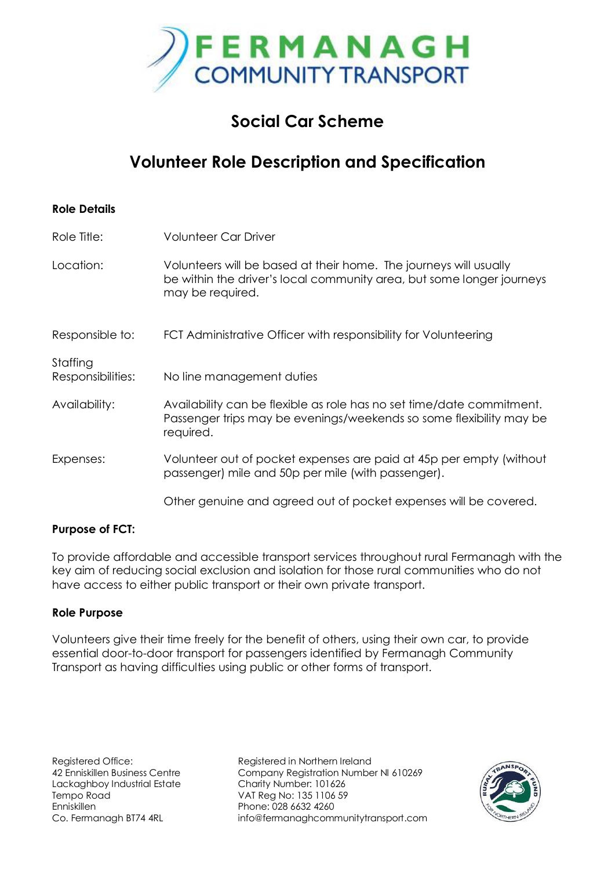

# **Social Car Scheme**

# **Volunteer Role Description and Specification**

| <b>Role Details</b>           |                                                                                                                                                                |
|-------------------------------|----------------------------------------------------------------------------------------------------------------------------------------------------------------|
| Role Title:                   | <b>Volunteer Car Driver</b>                                                                                                                                    |
| Location:                     | Volunteers will be based at their home. The journeys will usually<br>be within the driver's local community area, but some longer journeys<br>may be required. |
| Responsible to:               | FCT Administrative Officer with responsibility for Volunteering                                                                                                |
| Staffing<br>Responsibilities: | No line management duties                                                                                                                                      |
| Availability:                 | Availability can be flexible as role has no set time/date commitment.<br>Passenger trips may be evenings/weekends so some flexibility may be<br>required.      |
| Expenses:                     | Volunteer out of pocket expenses are paid at 45p per empty (without<br>passenger) mile and 50p per mile (with passenger).                                      |
|                               | Other genuine and agreed out of pocket expenses will be covered.                                                                                               |

### **Purpose of FCT:**

To provide affordable and accessible transport services throughout rural Fermanagh with the key aim of reducing social exclusion and isolation for those rural communities who do not have access to either public transport or their own private transport.

### **Role Purpose**

Volunteers give their time freely for the benefit of others, using their own car, to provide essential door-to-door transport for passengers identified by Fermanagh Community Transport as having difficulties using public or other forms of transport.

Registered Office: Registered in Northern Ireland 42 Enniskillen Business Centre Company Registration Number NI 610269 Co. Fermanagh BT74 4RL info@fermanaghcommunitytransport.com

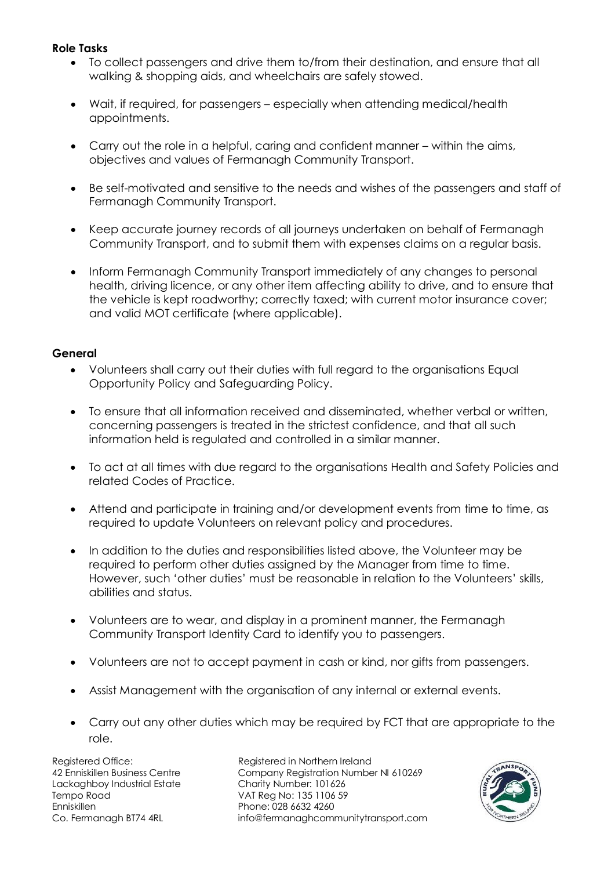### **Role Tasks**

- To collect passengers and drive them to/from their destination, and ensure that all walking & shopping aids, and wheelchairs are safely stowed.
- Wait, if required, for passengers especially when attending medical/health appointments.
- Carry out the role in a helpful, caring and confident manner within the aims, objectives and values of Fermanagh Community Transport.
- Be self-motivated and sensitive to the needs and wishes of the passengers and staff of Fermanagh Community Transport.
- Keep accurate journey records of all journeys undertaken on behalf of Fermanagh Community Transport, and to submit them with expenses claims on a regular basis.
- Inform Fermanagh Community Transport immediately of any changes to personal health, driving licence, or any other item affecting ability to drive, and to ensure that the vehicle is kept roadworthy; correctly taxed; with current motor insurance cover; and valid MOT certificate (where applicable).

### **General**

- Volunteers shall carry out their duties with full regard to the organisations Equal Opportunity Policy and Safeguarding Policy.
- To ensure that all information received and disseminated, whether verbal or written, concerning passengers is treated in the strictest confidence, and that all such information held is regulated and controlled in a similar manner.
- To act at all times with due regard to the organisations Health and Safety Policies and related Codes of Practice.
- Attend and participate in training and/or development events from time to time, as required to update Volunteers on relevant policy and procedures.
- In addition to the duties and responsibilities listed above, the Volunteer may be required to perform other duties assigned by the Manager from time to time. However, such 'other duties' must be reasonable in relation to the Volunteers' skills, abilities and status.
- Volunteers are to wear, and display in a prominent manner, the Fermanagh Community Transport Identity Card to identify you to passengers.
- Volunteers are not to accept payment in cash or kind, nor gifts from passengers.
- Assist Management with the organisation of any internal or external events.
- Carry out any other duties which may be required by FCT that are appropriate to the role.

Lackaghboy Industrial Estate Charity Number: 101626 Tempo Road VAT Reg No: 135 1106 59 Enniskillen Phone: 028 6632 4260

Registered Office: Registered in Northern Ireland 42 Enniskillen Business Centre Company Registration Number NI 610269 Co. Fermanagh BT74 4RL info@fermanaghcommunitytransport.com